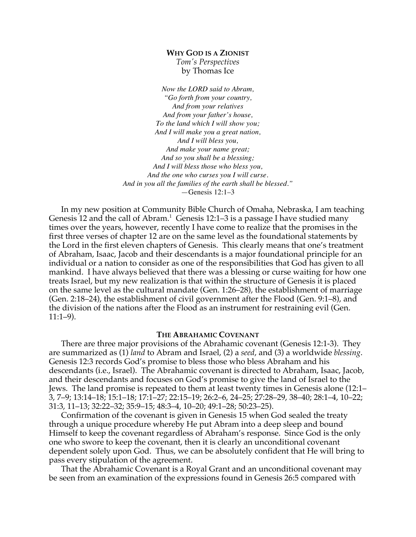# **WHY GOD IS A ZIONIST**

*Tom's Perspectives* by Thomas Ice

*Now the LORD said to Abram, "Go forth from your country, And from your relatives And from your father's house, To the land which I will show you; And I will make you a great nation, And I will bless you, And make your name great; And so you shall be a blessing; And I will bless those who bless you, And the one who curses you I will curse. And in you all the families of the earth shall be blessed."* —Genesis 12:1–3

In my new position at Community Bible Church of Omaha, Nebraska, I am teaching Genesis 12 and the call of Abram.<sup>1</sup> Genesis 12:1–3 is a passage I have studied many times over the years, however, recently I have come to realize that the promises in the first three verses of chapter 12 are on the same level as the foundational statements by the Lord in the first eleven chapters of Genesis. This clearly means that one's treatment of Abraham, Isaac, Jacob and their descendants is a major foundational principle for an individual or a nation to consider as one of the responsibilities that God has given to all mankind. I have always believed that there was a blessing or curse waiting for how one treats Israel, but my new realization is that within the structure of Genesis it is placed on the same level as the cultural mandate (Gen. 1:26–28), the establishment of marriage (Gen. 2:18–24), the establishment of civil government after the Flood (Gen. 9:1–8), and the division of the nations after the Flood as an instrument for restraining evil (Gen. 11:1–9).

# **THE ABRAHAMIC COVENANT**

There are three major provisions of the Abrahamic covenant (Genesis 12:1-3). They are summarized as (1) *land* to Abram and Israel, (2) a *seed*, and (3) a worldwide *blessing*. Genesis 12:3 records God's promise to bless those who bless Abraham and his descendants (i.e., Israel). The Abrahamic covenant is directed to Abraham, Isaac, Jacob, and their descendants and focuses on God's promise to give the land of Israel to the Jews. The land promise is repeated to them at least twenty times in Genesis alone (12:1– 3, 7–9; 13:14–18; 15:1–18; 17:1–27; 22:15–19; 26:2–6, 24–25; 27:28–29, 38–40; 28:1–4, 10–22; 31:3, 11–13; 32:22–32; 35:9–15; 48:3–4, 10–20; 49:1–28; 50:23–25).

Confirmation of the covenant is given in Genesis 15 when God sealed the treaty through a unique procedure whereby He put Abram into a deep sleep and bound Himself to keep the covenant regardless of Abraham's response. Since God is the only one who swore to keep the covenant, then it is clearly an unconditional covenant dependent solely upon God. Thus, we can be absolutely confident that He will bring to pass every stipulation of the agreement.

That the Abrahamic Covenant is a Royal Grant and an unconditional covenant may be seen from an examination of the expressions found in Genesis 26:5 compared with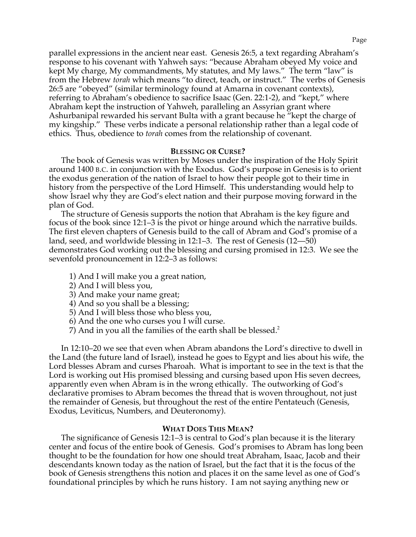parallel expressions in the ancient near east. Genesis 26:5, a text regarding Abraham's response to his covenant with Yahweh says: "because Abraham obeyed My voice and kept My charge, My commandments, My statutes, and My laws." The term "law" is from the Hebrew *torah* which means "to direct, teach, or instruct." The verbs of Genesis 26:5 are "obeyed" (similar terminology found at Amarna in covenant contexts), referring to Abraham's obedience to sacrifice Isaac (Gen. 22:1-2), and "kept," where Abraham kept the instruction of Yahweh, paralleling an Assyrian grant where Ashurbanipal rewarded his servant Bulta with a grant because he "kept the charge of my kingship." These verbs indicate a personal relationship rather than a legal code of ethics. Thus, obedience to *torah* comes from the relationship of covenant.

### **BLESSING OR CURSE?**

The book of Genesis was written by Moses under the inspiration of the Holy Spirit around 1400 B.C. in conjunction with the Exodus. God's purpose in Genesis is to orient the exodus generation of the nation of Israel to how their people got to their time in history from the perspective of the Lord Himself. This understanding would help to show Israel why they are God's elect nation and their purpose moving forward in the plan of God.

The structure of Genesis supports the notion that Abraham is the key figure and focus of the book since 12:1–3 is the pivot or hinge around which the narrative builds. The first eleven chapters of Genesis build to the call of Abram and God's promise of a land, seed, and worldwide blessing in 12:1–3. The rest of Genesis (12—50) demonstrates God working out the blessing and cursing promised in 12:3. We see the sevenfold pronouncement in 12:2–3 as follows:

- 1) And I will make you a great nation,
- 2) And I will bless you,
- 3) And make your name great;
- 4) And so you shall be a blessing;
- 5) And I will bless those who bless you,
- 6) And the one who curses you I will curse.
- 7) And in you all the families of the earth shall be blessed.<sup>2</sup>

In 12:10–20 we see that even when Abram abandons the Lord's directive to dwell in the Land (the future land of Israel), instead he goes to Egypt and lies about his wife, the Lord blesses Abram and curses Pharoah. What is important to see in the text is that the Lord is working out His promised blessing and cursing based upon His seven decrees, apparently even when Abram is in the wrong ethically. The outworking of God's declarative promises to Abram becomes the thread that is woven throughout, not just the remainder of Genesis, but throughout the rest of the entire Pentateuch (Genesis, Exodus, Leviticus, Numbers, and Deuteronomy).

## **WHAT DOES THIS MEAN?**

The significance of Genesis 12:1–3 is central to God's plan because it is the literary center and focus of the entire book of Genesis. God's promises to Abram has long been thought to be the foundation for how one should treat Abraham, Isaac, Jacob and their descendants known today as the nation of Israel, but the fact that it is the focus of the book of Genesis strengthens this notion and places it on the same level as one of God's foundational principles by which he runs history. I am not saying anything new or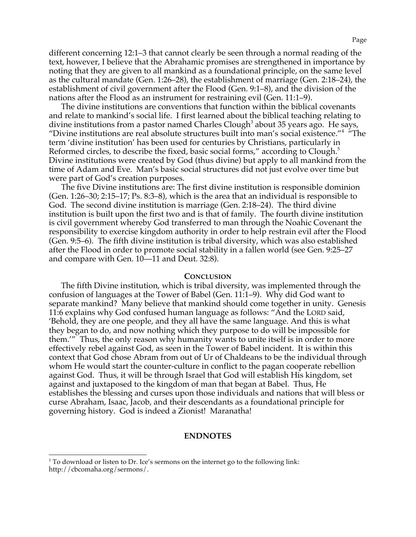different concerning 12:1–3 that cannot clearly be seen through a normal reading of the text, however, I believe that the Abrahamic promises are strengthened in importance by noting that they are given to all mankind as a foundational principle, on the same level as the cultural mandate (Gen. 1:26–28), the establishment of marriage (Gen. 2:18–24), the establishment of civil government after the Flood (Gen. 9:1–8), and the division of the nations after the Flood as an instrument for restraining evil (Gen. 11:1–9).

The divine institutions are conventions that function within the biblical covenants and relate to mankind's social life. I first learned about the biblical teaching relating to divine institutions from a pastor named Charles Clough<sup>3</sup> about 35 years ago. He says, "Divine institutions are real absolute structures built into man's social existence."<sup>4</sup> "The term 'divine institution' has been used for centuries by Christians, particularly in Reformed circles, to describe the fixed, basic social forms," according to Clough. $5$ Divine institutions were created by God (thus divine) but apply to all mankind from the time of Adam and Eve. Man's basic social structures did not just evolve over time but were part of God's creation purposes.

The five Divine institutions are: The first divine institution is responsible dominion (Gen. 1:26–30; 2:15–17; Ps. 8:3–8), which is the area that an individual is responsible to God. The second divine institution is marriage (Gen. 2:18–24). The third divine institution is built upon the first two and is that of family. The fourth divine institution is civil government whereby God transferred to man through the Noahic Covenant the responsibility to exercise kingdom authority in order to help restrain evil after the Flood (Gen. 9:5–6). The fifth divine institution is tribal diversity, which was also established after the Flood in order to promote social stability in a fallen world (see Gen. 9:25–27 and compare with Gen. 10—11 and Deut. 32:8).

#### **CONCLUSION**

The fifth Divine institution, which is tribal diversity, was implemented through the confusion of languages at the Tower of Babel (Gen. 11:1–9). Why did God want to separate mankind? Many believe that mankind should come together in unity. Genesis 11:6 explains why God confused human language as follows: "And the LORD said, 'Behold, they are one people, and they all have the same language. And this is what they began to do, and now nothing which they purpose to do will be impossible for them.'" Thus, the only reason why humanity wants to unite itself is in order to more effectively rebel against God, as seen in the Tower of Babel incident. It is within this context that God chose Abram from out of Ur of Chaldeans to be the individual through whom He would start the counter-culture in conflict to the pagan cooperate rebellion against God. Thus, it will be through Israel that God will establish His kingdom, set against and juxtaposed to the kingdom of man that began at Babel. Thus, He establishes the blessing and curses upon those individuals and nations that will bless or curse Abraham, Isaac, Jacob, and their descendants as a foundational principle for governing history. God is indeed a Zionist! Maranatha!

#### **ENDNOTES**

 $1$ <sup>1</sup> To download or listen to Dr. Ice's sermons on the internet go to the following link: http://cbcomaha.org/sermons/.